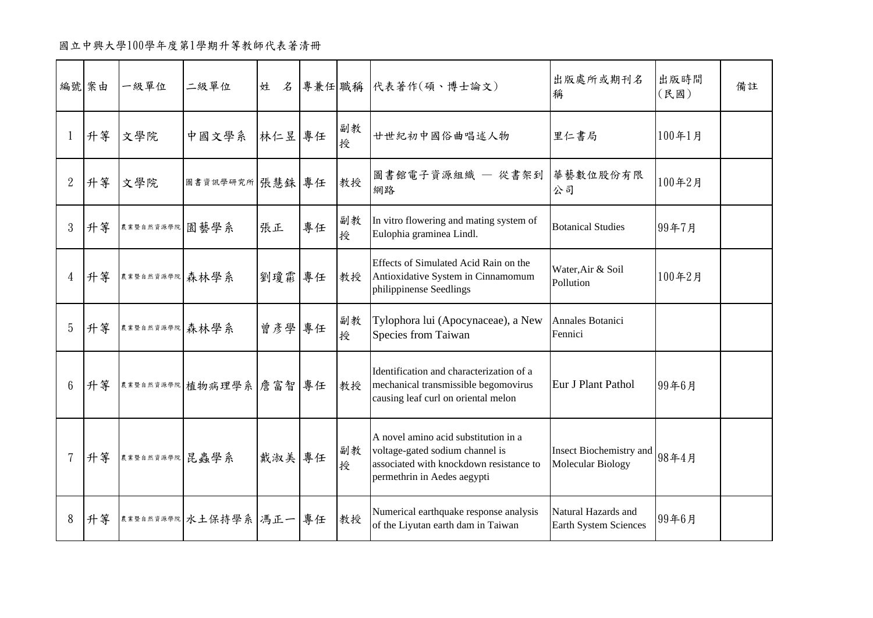國立中興大學100學年度第1學期升等教師代表著清冊

|                 | 編號 案由 | 一級單位           | 二級單位                    |        |    |         | 姓 名 專兼任 職稱 代表著作(碩、博士論文)                                                                                                                           | 出版處所或期刊名<br>稱                                | 出版時間<br>(民國) | 備註 |
|-----------------|-------|----------------|-------------------------|--------|----|---------|---------------------------------------------------------------------------------------------------------------------------------------------------|----------------------------------------------|--------------|----|
| 1               | 升等    | 文學院            | 中國文學系                   | 林仁昱 專任 |    | 副教<br>授 | 廿世紀初中國俗曲唱述人物                                                                                                                                      | 里仁書局                                         | 100年1月       |    |
| $\overline{2}$  | 升等    | 文學院            | 圖書資訊學研究所 張慧銖 專任         |        |    | 教授      | 圖書館電子資源組織 - 從書架到<br>網路                                                                                                                            | 華藝數位股份有限<br>公司                               | 100年2月       |    |
| 3               | 升等    | 農業暨自然資源學院 園藝學系 |                         | 張正     | 專任 | 副教<br>授 | In vitro flowering and mating system of<br>Eulophia graminea Lindl.                                                                               | <b>Botanical Studies</b>                     | 99年7月        |    |
| $\overline{4}$  | 升等    | 農業暨自然資源學院 森林學系 |                         | 劉瓊霖 專任 |    | 教授      | Effects of Simulated Acid Rain on the<br>Antioxidative System in Cinnamomum<br>philippinense Seedlings                                            | Water, Air & Soil<br>Pollution               | 100年2月       |    |
| 5               | 升等    | 農業暨自然資源學院 森林學系 |                         | 曾彦學 專任 |    | 副教<br>授 | Tylophora lui (Apocynaceae), a New<br>Species from Taiwan                                                                                         | Annales Botanici<br>Fennici                  |              |    |
| $6\phantom{.}6$ | 升等    |                | 其辈暨自然资源學院 植物病理學系 詹富智 專任 |        |    | 教授      | Identification and characterization of a<br>mechanical transmissible begomovirus<br>causing leaf curl on oriental melon                           | Eur J Plant Pathol                           | 99年6月        |    |
|                 | 升等    | 農業暨自然資源學院 昆蟲學系 |                         | 戴淑美專任  |    | 副教<br>授 | A novel amino acid substitution in a<br>voltage-gated sodium channel is<br>associated with knockdown resistance to<br>permethrin in Aedes aegypti | Insect Biochemistry and<br>Molecular Biology | 98年4月        |    |
| 8               | 升等    |                | 其辈暨自然資源學院 水土保持學系 馮正一 專任 |        |    | 教授      | Numerical earthquake response analysis<br>of the Liyutan earth dam in Taiwan                                                                      | Natural Hazards and<br>Earth System Sciences | 99年6月        |    |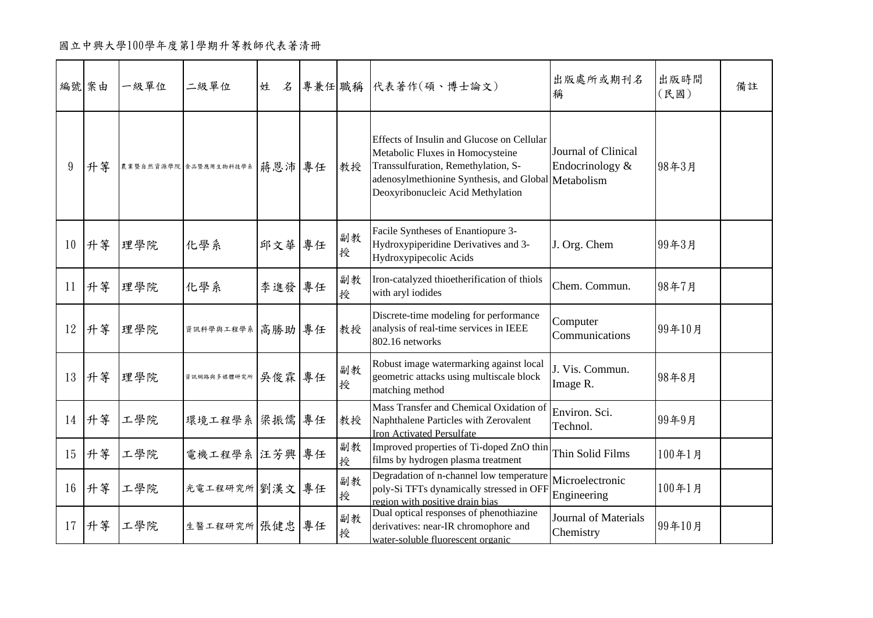## 國立中興大學100學年度第1學期升等教師代表著清冊

| 編號 案由 |    | 一級單位 | 二級單位                        | 姓<br>名 |         | 專兼任 職稱 代表著作(碩、博士論文)                                                                                                                                                                                               | 出版處所或期刊名<br>稱                            | 出版時間<br>(民國) | 備註 |
|-------|----|------|-----------------------------|--------|---------|-------------------------------------------------------------------------------------------------------------------------------------------------------------------------------------------------------------------|------------------------------------------|--------------|----|
| 9     | 升等 |      | 農業暨自然資源學院 食品暨應用生物科技學系 蔣恩沛康年 |        | 教授      | Effects of Insulin and Glucose on Cellular<br>Metabolic Fluxes in Homocysteine<br>Transsulfuration, Remethylation, S-<br>adenosylmethionine Synthesis, and Global Metabolism<br>Deoxyribonucleic Acid Methylation | Journal of Clinical<br>Endocrinology &   | 98年3月        |    |
| 10    | 升等 | 理學院  | 化學系                         | 邱文華 專任 | 副教<br>授 | Facile Syntheses of Enantiopure 3-<br>Hydroxypiperidine Derivatives and 3-<br>Hydroxypipecolic Acids                                                                                                              | J. Org. Chem                             | 99年3月        |    |
| 11    | 升等 | 理學院  | 化學系                         | 李進發專任  | 副教<br>授 | Iron-catalyzed thioetherification of thiols<br>with aryl iodides                                                                                                                                                  | Chem. Commun.                            | 98年7月        |    |
| 12    | 升等 | 理學院  | 資訊科學與工程學系「高勝助」專任            |        | 教授      | Discrete-time modeling for performance<br>analysis of real-time services in IEEE<br>802.16 networks                                                                                                               | Computer<br>Communications               | 99年10月       |    |
| 13    | 升等 | 理學院  | 黄讯绸路奥多媒體研究所 吴俊霖 專任          |        | 副教<br>授 | Robust image watermarking against local<br>geometric attacks using multiscale block<br>matching method                                                                                                            | J. Vis. Commun.<br>Image R.              | 98年8月        |    |
| 14    | 升等 | 工學院  | 環境工程學系 梁振儒 專任               |        | 教授      | Mass Transfer and Chemical Oxidation of<br>Naphthalene Particles with Zerovalent<br><b>Iron Activated Persulfate</b>                                                                                              | Environ. Sci.<br>Technol.                | 99年9月        |    |
| 15    | 升等 | 工學院  | 電機工程學系 汪芳興 專任               |        | 副教<br>授 | Improved properties of Ti-doped ZnO thin<br>films by hydrogen plasma treatment                                                                                                                                    | Thin Solid Films                         | 100年1月       |    |
| 16    | 升等 | 工學院  | 光電工程研究所 劉漢文 專任              |        | 副教<br>授 | Degradation of n-channel low temperature<br>poly-Si TFTs dynamically stressed in OFF<br>region with positive drain bias                                                                                           | Microelectronic<br>Engineering           | 100年1月       |    |
| 17    | 升等 | 工學院  | 生醫工程研究所 張健忠 專任              |        | 副教<br>授 | Dual optical responses of phenothiazine<br>derivatives: near-IR chromophore and<br>water-soluble fluorescent organic                                                                                              | <b>Journal of Materials</b><br>Chemistry | 99年10月       |    |